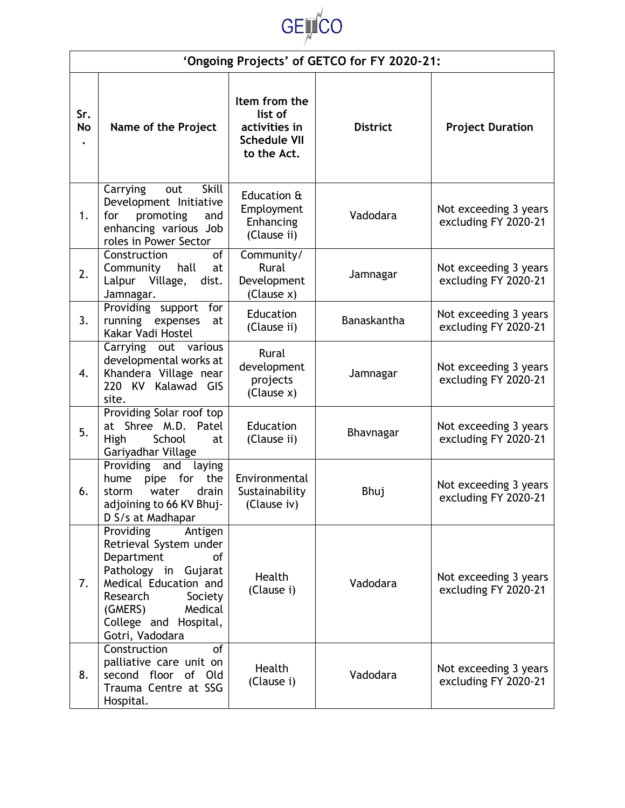

| 'Ongoing Projects' of GETCO for FY 2020-21: |                                                                                                                                                                                                              |                                                                                 |                    |                                               |  |  |
|---------------------------------------------|--------------------------------------------------------------------------------------------------------------------------------------------------------------------------------------------------------------|---------------------------------------------------------------------------------|--------------------|-----------------------------------------------|--|--|
| Sr.<br><b>No</b><br>$\bullet$               | Name of the Project                                                                                                                                                                                          | Item from the<br>list of<br>activities in<br><b>Schedule VII</b><br>to the Act. | <b>District</b>    | <b>Project Duration</b>                       |  |  |
| 1.                                          | Skill<br>Carrying<br>out<br>Development Initiative<br>for<br>promoting<br>and<br>enhancing various Job<br>roles in Power Sector                                                                              | Education &<br>Employment<br>Enhancing<br>(Clause ii)                           | Vadodara           | Not exceeding 3 years<br>excluding FY 2020-21 |  |  |
| 2.                                          | of<br>Construction<br>hall<br>Community<br>at<br>Lalpur<br>Village,<br>dist.<br>Jamnagar.                                                                                                                    | Community/<br>Rural<br>Development<br>(Clause x)                                | Jamnagar           | Not exceeding 3 years<br>excluding FY 2020-21 |  |  |
| 3.                                          | Providing support for<br>running expenses<br>at<br>Kakar Vadi Hostel                                                                                                                                         | Education<br>(Clause ii)                                                        | <b>Banaskantha</b> | Not exceeding 3 years<br>excluding FY 2020-21 |  |  |
| 4.                                          | Carrying out various<br>developmental works at<br>Khandera Village near<br>220 KV Kalawad GIS<br>site.                                                                                                       | Rural<br>development<br>projects<br>(Clause x)                                  | Jamnagar           | Not exceeding 3 years<br>excluding FY 2020-21 |  |  |
| 5.                                          | Providing Solar roof top<br>at Shree M.D. Patel<br>School<br>High<br>at<br>Gariyadhar Village                                                                                                                | Education<br>(Clause ii)                                                        | Bhavnagar          | Not exceeding 3 years<br>excluding FY 2020-21 |  |  |
| 6.                                          | Providing<br>and<br>laying<br>pipe for<br>the<br>hume<br>drain<br>water<br>storm<br>adjoining to 66 KV Bhuj-<br>D S/s at Madhapar                                                                            | Environmental<br>Sustainability<br>(Clause iv)                                  | Bhuj               | Not exceeding 3 years<br>excluding FY 2020-21 |  |  |
| 7.                                          | Antigen<br>Providing<br>Retrieval System under<br>Department<br>of<br>Pathology in Gujarat<br>Medical Education and<br>Research<br>Society<br>(GMERS)<br>Medical<br>College and Hospital,<br>Gotri, Vadodara | Health<br>(Clause i)                                                            | Vadodara           | Not exceeding 3 years<br>excluding FY 2020-21 |  |  |
| 8.                                          | Construction<br>of<br>palliative care unit on<br>second floor of Old<br>Trauma Centre at SSG<br>Hospital.                                                                                                    | Health<br>(Clause i)                                                            | Vadodara           | Not exceeding 3 years<br>excluding FY 2020-21 |  |  |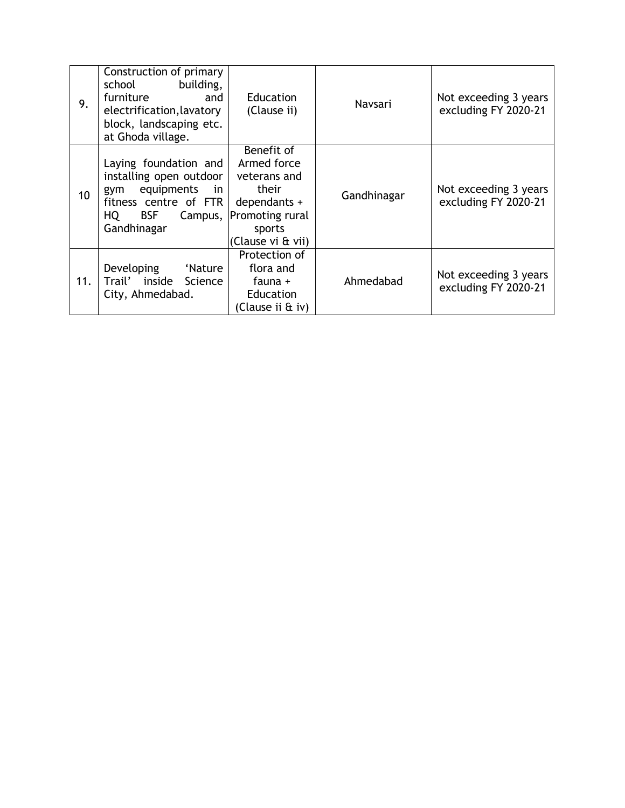| 9.  | Construction of primary<br>school<br>building,<br>furniture<br>and<br>electrification, lavatory<br>block, landscaping etc.<br>at Ghoda village.      | <b>Education</b><br>(Clause ii)                                                                                      | Navsari     | Not exceeding 3 years<br>excluding FY 2020-21 |
|-----|------------------------------------------------------------------------------------------------------------------------------------------------------|----------------------------------------------------------------------------------------------------------------------|-------------|-----------------------------------------------|
| 10  | Laying foundation and<br>installing open outdoor<br>equipments<br>in<br>gym<br>fitness centre of FTR<br>HQ I<br><b>BSF</b><br>Campus,<br>Gandhinagar | Benefit of<br>Armed force<br>veterans and<br>their<br>dependants +<br>Promoting rural<br>sports<br>(Clause vi & vii) | Gandhinagar | Not exceeding 3 years<br>excluding FY 2020-21 |
| 11. | Developing<br>'Nature<br>Trail'<br>inside<br>Science<br>City, Ahmedabad.                                                                             | Protection of<br>flora and<br>fauna +<br>Education<br>(Clause ii & iv)                                               | Ahmedabad   | Not exceeding 3 years<br>excluding FY 2020-21 |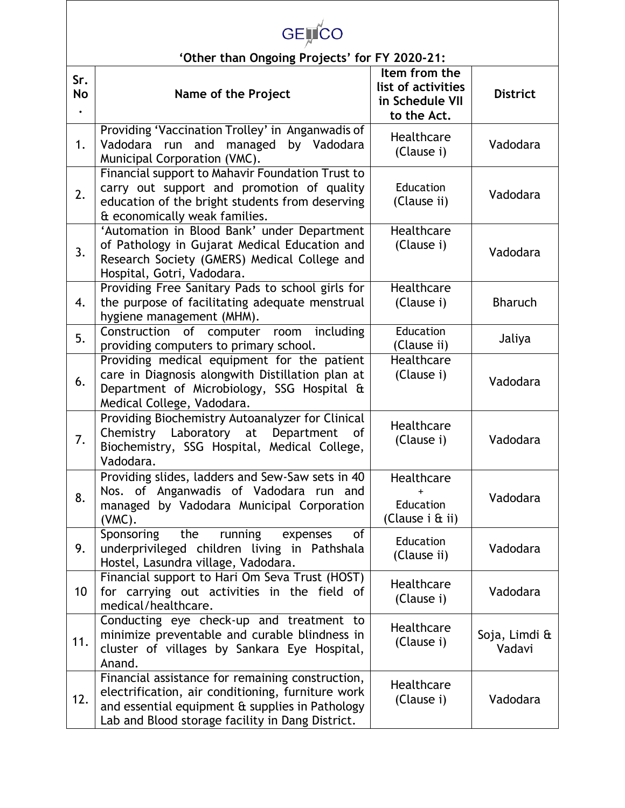| <b>GELICO</b>                                 |                                                                                                                                                                                                              |                                                                       |                         |  |  |
|-----------------------------------------------|--------------------------------------------------------------------------------------------------------------------------------------------------------------------------------------------------------------|-----------------------------------------------------------------------|-------------------------|--|--|
| 'Other than Ongoing Projects' for FY 2020-21: |                                                                                                                                                                                                              |                                                                       |                         |  |  |
| Sr.<br>No<br>$\bullet$                        | Name of the Project                                                                                                                                                                                          | Item from the<br>list of activities<br>in Schedule VII<br>to the Act. | <b>District</b>         |  |  |
| 1.                                            | Providing 'Vaccination Trolley' in Anganwadis of<br>Vadodara run and managed<br>by Vadodara<br>Municipal Corporation (VMC).                                                                                  | <b>Healthcare</b><br>(Clause i)                                       | Vadodara                |  |  |
| 2.                                            | Financial support to Mahavir Foundation Trust to<br>carry out support and promotion of quality<br>education of the bright students from deserving<br>& economically weak families.                           | Education<br>(Clause ii)                                              | Vadodara                |  |  |
| 3.                                            | 'Automation in Blood Bank' under Department<br>of Pathology in Gujarat Medical Education and<br>Research Society (GMERS) Medical College and<br>Hospital, Gotri, Vadodara.                                   | Healthcare<br>(Clause i)                                              | Vadodara                |  |  |
| 4.                                            | Providing Free Sanitary Pads to school girls for<br>the purpose of facilitating adequate menstrual<br>hygiene management (MHM).                                                                              | Healthcare<br>(Clause i)                                              | <b>Bharuch</b>          |  |  |
| 5.                                            | Construction of computer room including<br>providing computers to primary school.                                                                                                                            | Education<br>(Clause ii)                                              | Jaliya                  |  |  |
| 6.                                            | Providing medical equipment for the patient<br>care in Diagnosis alongwith Distillation plan at<br>Department of Microbiology, SSG Hospital &<br>Medical College, Vadodara.                                  | Healthcare<br>(Clause i)                                              | Vadodara                |  |  |
| 7.                                            | Providing Biochemistry Autoanalyzer for Clinical<br>Chemistry Laboratory at Department<br>0f<br>Biochemistry, SSG Hospital, Medical College,<br>Vadodara.                                                    | Healthcare<br>(Clause i)                                              | Vadodara                |  |  |
| 8.                                            | Providing slides, ladders and Sew-Saw sets in 40<br>Nos. of Anganwadis of Vadodara run and<br>managed by Vadodara Municipal Corporation<br>(VMC).                                                            | Healthcare<br>Education<br>(Clause i & ii)                            | Vadodara                |  |  |
| 9.                                            | Sponsoring<br>running<br>the<br>of<br>expenses<br>underprivileged children living in Pathshala<br>Hostel, Lasundra village, Vadodara.                                                                        | Education<br>(Clause ii)                                              | Vadodara                |  |  |
| 10                                            | Financial support to Hari Om Seva Trust (HOST)<br>for carrying out activities in the field of<br>medical/healthcare.                                                                                         | Healthcare<br>(Clause i)                                              | Vadodara                |  |  |
| 11.                                           | Conducting eye check-up and treatment to<br>minimize preventable and curable blindness in<br>cluster of villages by Sankara Eye Hospital,<br>Anand.                                                          | Healthcare<br>(Clause i)                                              | Soja, Limdi &<br>Vadavi |  |  |
| 12.                                           | Financial assistance for remaining construction,<br>electrification, air conditioning, furniture work<br>and essential equipment & supplies in Pathology<br>Lab and Blood storage facility in Dang District. | Healthcare<br>(Clause i)                                              | Vadodara                |  |  |